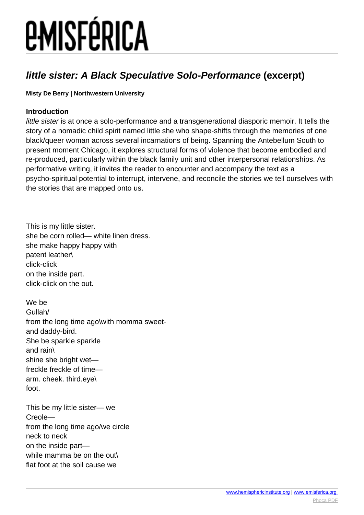#### **little sister: A Black Speculative Solo-Performance (excerpt)**

#### **Misty De Berry | Northwestern University**

#### **Introduction**

little sister is at once a solo-performance and a transgenerational diasporic memoir. It tells the story of a nomadic child spirit named little she who shape-shifts through the memories of one black/queer woman across several incarnations of being. Spanning the Antebellum South to present moment Chicago, it explores structural forms of violence that become embodied and re-produced, particularly within the black family unit and other interpersonal relationships. As performative writing, it invites the reader to encounter and accompany the text as a psycho-spiritual potential to interrupt, intervene, and reconcile the stories we tell ourselves with the stories that are mapped onto us.

This is my little sister. she be corn rolled— white linen dress. she make happy happy with patent leather\ click-click on the inside part. click-click on the out.

We be Gullah/ from the long time ago\with momma sweetand daddy-bird. She be sparkle sparkle and rain\ shine she bright wet freckle freckle of time arm. cheek. third.eye\ foot.

This be my little sister— we Creole from the long time ago/we circle neck to neck on the inside part while mamma be on the out\ flat foot at the soil cause we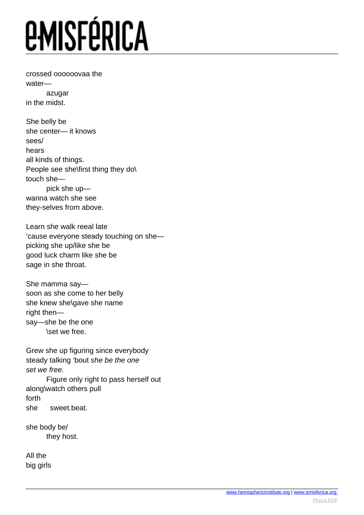crossed oooooovaa the water azugar in the midst.

She belly be she center— it knows sees/ hears all kinds of things. People see she\first thing they do\ touch she pick she up wanna watch she see they-selves from above.

Learn she walk reeal late 'cause everyone steady touching on she picking she up/like she be good luck charm like she be sage in she throat.

She mamma say soon as she come to her belly she knew she\gave she name right then say—she be the one \set we free.

Grew she up figuring since everybody steady talking 'bout she be the one set we free.

 Figure only right to pass herself out along\watch others pull forth she sweet.beat.

she body be/ they host.

All the big girls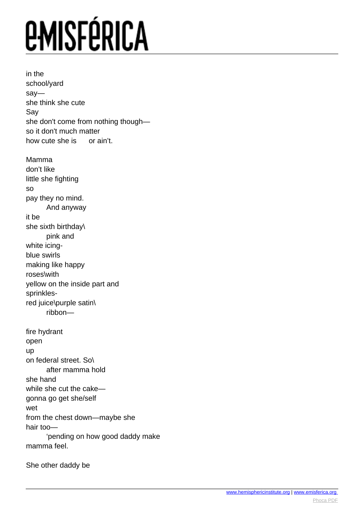in the school/yard say she think she cute Say she don't come from nothing though so it don't much matter how cute she is or ain't. Mamma don't like little she fighting so pay they no mind. And anyway it be she sixth birthday\ pink and white icinablue swirls making like happy roses\with yellow on the inside part and sprinklesred juice\purple satin\ ribbon fire hydrant open up on federal street. So\ after mamma hold she hand while she cut the cake gonna go get she/self wet from the chest down—maybe she hair too— 'pending on how good daddy make mamma feel.

She other daddy be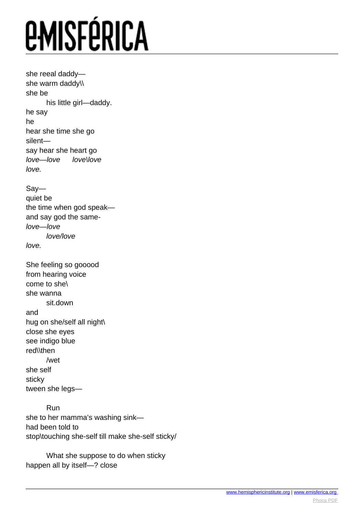she reeal daddy she warm daddy\\ she be his little girl—daddy. he say he hear she time she go silent say hear she heart go love—love love\love love.

Say quiet be the time when god speak and say god the samelove—love love/love love.

She feeling so gooood from hearing voice come to she\ she wanna sit.down and hug on she/self all night\ close she eyes see indigo blue red\\then /wet she self sticky tween she legs—

 Run she to her mamma's washing sink had been told to stop\touching she-self till make she-self sticky/

 What she suppose to do when sticky happen all by itself—? close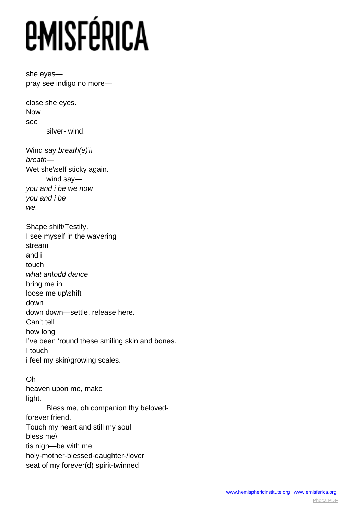she eyes pray see indigo no more—

close she eyes. Now see silver- wind.

Wind say *breath(e)\\* breath— Wet she\self sticky again. wind say you and i be we now you and i be we.

Shape shift/Testify. I see myself in the wavering stream and i touch what an\odd dance bring me in loose me up\shift down down down—settle. release here. Can't tell how long I've been 'round these smiling skin and bones. I touch i feel my skin\growing scales.

Oh heaven upon me, make light. Bless me, oh companion thy belovedforever friend. Touch my heart and still my soul bless me\ tis nigh—be with me holy-mother-blessed-daughter-/lover seat of my forever(d) spirit-twinned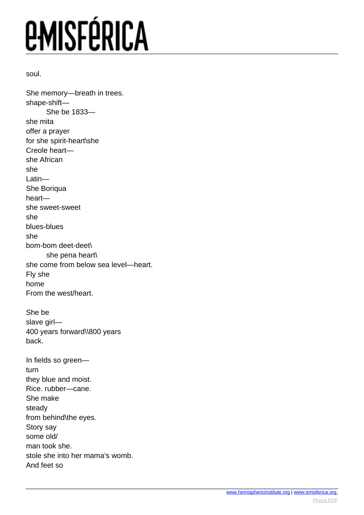soul.

She memory—breath in trees. shape-shift— She be 1833 she mita offer a prayer for she spirit-heart\she Creole heart she African she Latin— She Boriqua heart she sweet-sweet she blues-blues she bom-bom deet-deet\ she pena heart\ she come from below sea level—heart. Fly she home From the west/heart. She be slave girl— 400 years forward\\800 years back. In fields so green turn they blue and moist. Rice. rubber—cane. She make steady from behind\the eyes. Story say some old/ man took she. stole she into her mama's womb. And feet so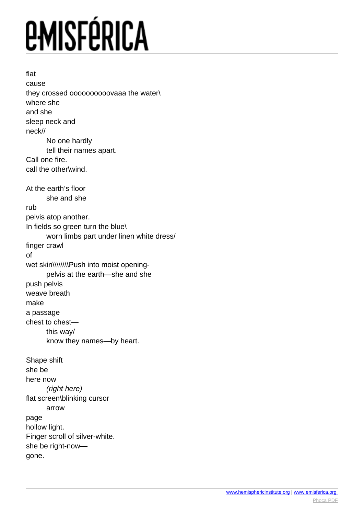flat cause they crossed oooooooooovaaa the water\ where she and she sleep neck and neck// No one hardly tell their names apart. Call one fire. call the other\wind. At the earth's floor she and she rub pelvis atop another. In fields so green turn the blue\ worn limbs part under linen white dress/ finger crawl of wet skin\\\\\\\\Push into moist opening pelvis at the earth—she and she push pelvis weave breath make a passage chest to chest this way/ know they names—by heart. Shape shift she be here now (right here) flat screen\blinking cursor arrow page hollow light. Finger scroll of silver-white. she be right-now gone.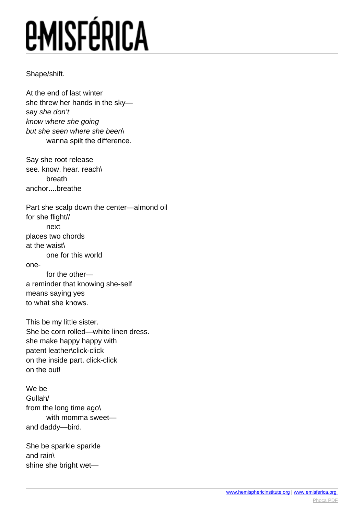#### Shape/shift.

At the end of last winter she threw her hands in the sky say she don't know where she going but she seen where she been\ wanna spilt the difference.

Say she root release see. know. hear. reach\ breath anchor....breathe

Part she scalp down the center—almond oil for she flight// next places two chords at the waist\ one for this world one for the other a reminder that knowing she-self means saying yes

to what she knows.

This be my little sister. She be corn rolled—white linen dress. she make happy happy with patent leather\click-click on the inside part. click-click on the out!

We be Gullah/ from the long time ago\ with momma sweet and daddy—bird.

She be sparkle sparkle and rain\ shine she bright wet—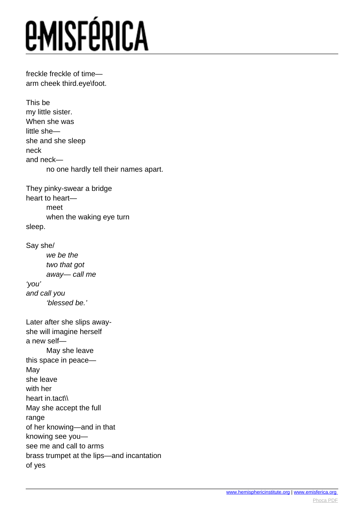freckle freckle of time arm cheek third.eye\foot.

This be my little sister. When she was little she she and she sleep neck and neck no one hardly tell their names apart.

They pinky-swear a bridge heart to heart meet when the waking eye turn sleep.

Say she/ we be the two that got away— call me 'you' and call you 'blessed be.'

Later after she slips awayshe will imagine herself a new self— May she leave this space in peace— May she leave with her heart in.tact\\ May she accept the full range of her knowing—and in that knowing see you see me and call to arms brass trumpet at the lips—and incantation of yes